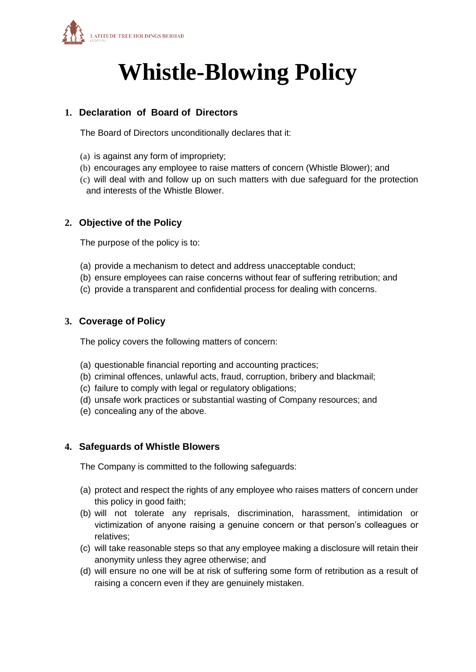

# **Whistle-Blowing Policy**

### **1. Declaration of Board of Directors**

The Board of Directors unconditionally declares that it:

- (a) is against any form of impropriety;
- (b) encourages any employee to raise matters of concern (Whistle Blower); and
- (c) will deal with and follow up on such matters with due safeguard for the protection and interests of the Whistle Blower.

#### **2. Objective of the Policy**

The purpose of the policy is to:

- (a) provide a mechanism to detect and address unacceptable conduct;
- (b) ensure employees can raise concerns without fear of suffering retribution; and
- (c) provide a transparent and confidential process for dealing with concerns.

#### **3. Coverage of Policy**

The policy covers the following matters of concern:

- (a) questionable financial reporting and accounting practices;
- (b) criminal offences, unlawful acts, fraud, corruption, bribery and blackmail;
- (c) failure to comply with legal or regulatory obligations;
- (d) unsafe work practices or substantial wasting of Company resources; and
- (e) concealing any of the above.

#### **4. Safeguards of Whistle Blowers**

The Company is committed to the following safeguards:

- (a) protect and respect the rights of any employee who raises matters of concern under this policy in good faith;
- (b) will not tolerate any reprisals, discrimination, harassment, intimidation or victimization of anyone raising a genuine concern or that person's colleagues or relatives;
- (c) will take reasonable steps so that any employee making a disclosure will retain their anonymity unless they agree otherwise; and
- (d) will ensure no one will be at risk of suffering some form of retribution as a result of raising a concern even if they are genuinely mistaken.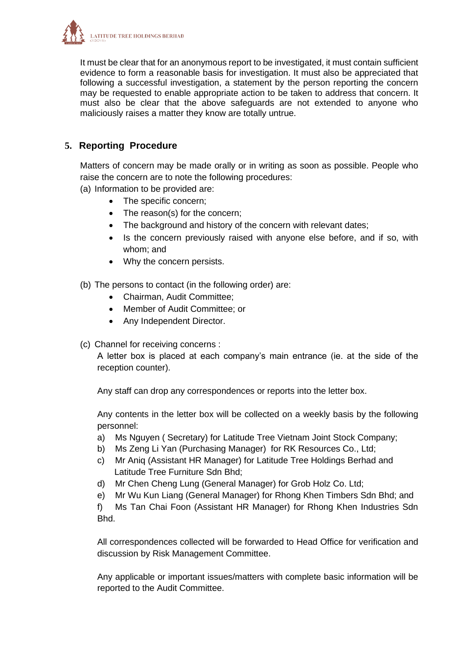

It must be clear that for an anonymous report to be investigated, it must contain sufficient evidence to form a reasonable basis for investigation. It must also be appreciated that following a successful investigation, a statement by the person reporting the concern may be requested to enable appropriate action to be taken to address that concern. It must also be clear that the above safeguards are not extended to anyone who maliciously raises a matter they know are totally untrue.

## **5. Reporting Procedure**

Matters of concern may be made orally or in writing as soon as possible. People who raise the concern are to note the following procedures:

(a) Information to be provided are:

- The specific concern;
- The reason(s) for the concern;
- The background and history of the concern with relevant dates;
- Is the concern previously raised with anyone else before, and if so, with whom; and
- Why the concern persists.
- (b) The persons to contact (in the following order) are:
	- Chairman, Audit Committee;
	- Member of Audit Committee; or
	- Any Independent Director.
- (c) Channel for receiving concerns :

A letter box is placed at each company's main entrance (ie. at the side of the reception counter).

Any staff can drop any correspondences or reports into the letter box.

Any contents in the letter box will be collected on a weekly basis by the following personnel:

- a) Ms Nguyen ( Secretary) for Latitude Tree Vietnam Joint Stock Company;
- b) Ms Zeng Li Yan (Purchasing Manager) for RK Resources Co., Ltd;
- c) Mr Aniq (Assistant HR Manager) for Latitude Tree Holdings Berhad and Latitude Tree Furniture Sdn Bhd;
- d) Mr Chen Cheng Lung (General Manager) for Grob Holz Co. Ltd;
- e) Mr Wu Kun Liang (General Manager) for Rhong Khen Timbers Sdn Bhd; and

f) Ms Tan Chai Foon (Assistant HR Manager) for Rhong Khen Industries Sdn Bhd.

All correspondences collected will be forwarded to Head Office for verification and discussion by Risk Management Committee.

Any applicable or important issues/matters with complete basic information will be reported to the Audit Committee.